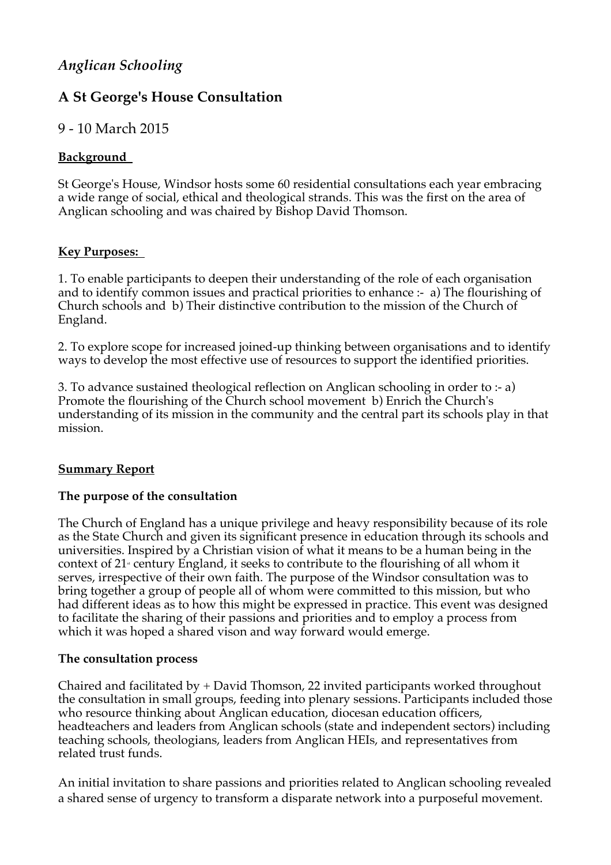# *Anglican Schooling*

# **A St George's House Consultation**

# 9 - 10 March 2015

## **Background**

St George's House, Windsor hosts some 60 residential consultations each year embracing a wide range of social, ethical and theological strands. This was the first on the area of Anglican schooling and was chaired by Bishop David Thomson.

### **Key Purposes:**

1. To enable participants to deepen their understanding of the role of each organisation and to identify common issues and practical priorities to enhance :- a) The flourishing of Church schools and b) Their distinctive contribution to the mission of the Church of England.

2. To explore scope for increased joined-up thinking between organisations and to identify ways to develop the most effective use of resources to support the identified priorities.

3. To advance sustained theological reflection on Anglican schooling in order to :- a) Promote the flourishing of the Church school movement b) Enrich the Church's understanding of its mission in the community and the central part its schools play in that mission.

## **Summary Report**

### **The purpose of the consultation**

The Church of England has a unique privilege and heavy responsibility because of its role as the State Church and given its significant presence in education through its schools and universities. Inspired by a Christian vision of what it means to be a human being in the context of  $21$ <sup>s</sup> century England, it seeks to contribute to the flourishing of all whom it serves, irrespective of their own faith. The purpose of the Windsor consultation was to bring together a group of people all of whom were committed to this mission, but who had different ideas as to how this might be expressed in practice. This event was designed to facilitate the sharing of their passions and priorities and to employ a process from which it was hoped a shared vison and way forward would emerge.

### **The consultation process**

Chaired and facilitated by + David Thomson, 22 invited participants worked throughout the consultation in small groups, feeding into plenary sessions. Participants included those who resource thinking about Anglican education, diocesan education officers, headteachers and leaders from Anglican schools (state and independent sectors) including teaching schools, theologians, leaders from Anglican HEIs, and representatives from related trust funds.

An initial invitation to share passions and priorities related to Anglican schooling revealed a shared sense of urgency to transform a disparate network into a purposeful movement.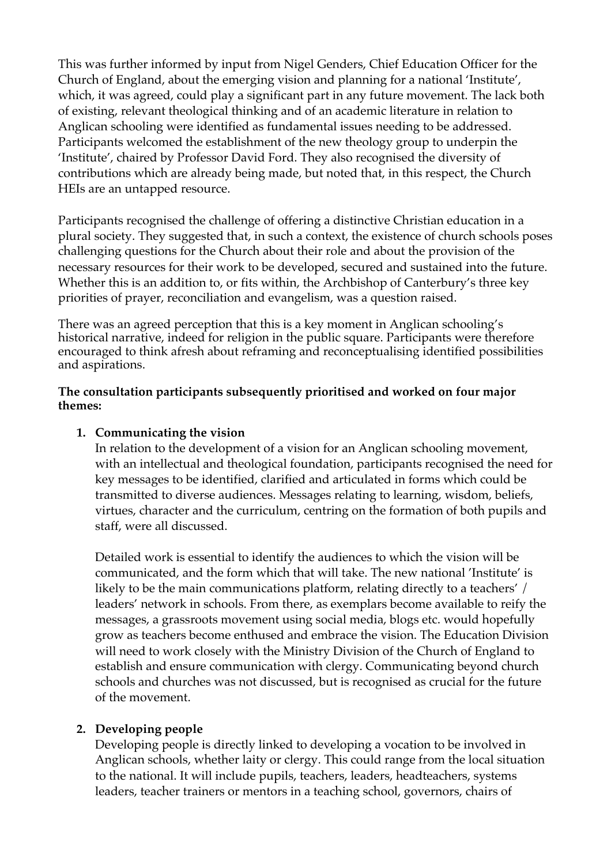This was further informed by input from Nigel Genders, Chief Education Officer for the Church of England, about the emerging vision and planning for a national 'Institute', which, it was agreed, could play a significant part in any future movement. The lack both of existing, relevant theological thinking and of an academic literature in relation to Anglican schooling were identified as fundamental issues needing to be addressed. Participants welcomed the establishment of the new theology group to underpin the 'Institute', chaired by Professor David Ford. They also recognised the diversity of contributions which are already being made, but noted that, in this respect, the Church HEIs are an untapped resource.

Participants recognised the challenge of offering a distinctive Christian education in a plural society. They suggested that, in such a context, the existence of church schools poses challenging questions for the Church about their role and about the provision of the necessary resources for their work to be developed, secured and sustained into the future. Whether this is an addition to, or fits within, the Archbishop of Canterbury's three key priorities of prayer, reconciliation and evangelism, was a question raised.

There was an agreed perception that this is a key moment in Anglican schooling's historical narrative, indeed for religion in the public square. Participants were therefore encouraged to think afresh about reframing and reconceptualising identified possibilities and aspirations.

#### **The consultation participants subsequently prioritised and worked on four major themes:**

## **1. Communicating the vision**

In relation to the development of a vision for an Anglican schooling movement, with an intellectual and theological foundation, participants recognised the need for key messages to be identified, clarified and articulated in forms which could be transmitted to diverse audiences. Messages relating to learning, wisdom, beliefs, virtues, character and the curriculum, centring on the formation of both pupils and staff, were all discussed.

Detailed work is essential to identify the audiences to which the vision will be communicated, and the form which that will take. The new national 'Institute' is likely to be the main communications platform, relating directly to a teachers' / leaders' network in schools. From there, as exemplars become available to reify the messages, a grassroots movement using social media, blogs etc. would hopefully grow as teachers become enthused and embrace the vision. The Education Division will need to work closely with the Ministry Division of the Church of England to establish and ensure communication with clergy. Communicating beyond church schools and churches was not discussed, but is recognised as crucial for the future of the movement.

### **2. Developing people**

Developing people is directly linked to developing a vocation to be involved in Anglican schools, whether laity or clergy. This could range from the local situation to the national. It will include pupils, teachers, leaders, headteachers, systems leaders, teacher trainers or mentors in a teaching school, governors, chairs of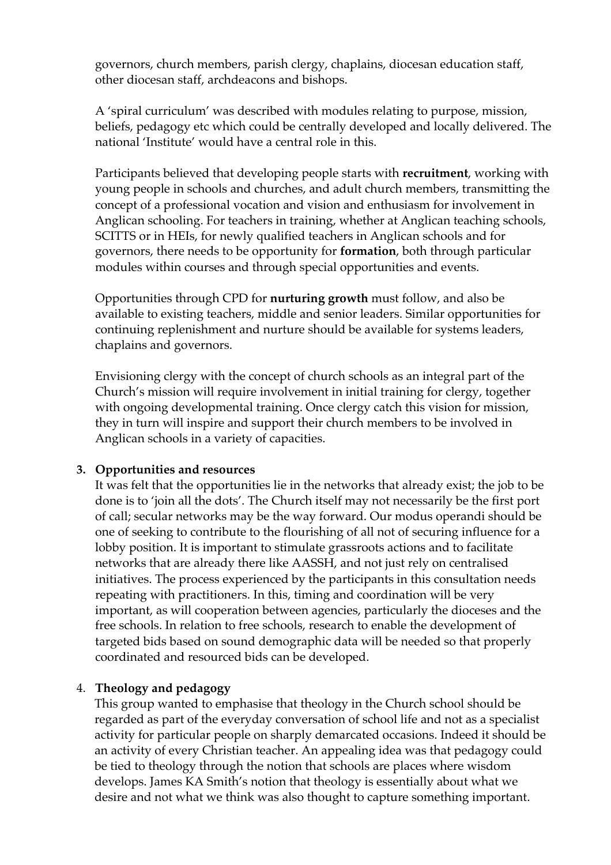governors, church members, parish clergy, chaplains, diocesan education staff, other diocesan staff, archdeacons and bishops.

A 'spiral curriculum' was described with modules relating to purpose, mission, beliefs, pedagogy etc which could be centrally developed and locally delivered. The national 'Institute' would have a central role in this.

Participants believed that developing people starts with **recruitment**, working with young people in schools and churches, and adult church members, transmitting the concept of a professional vocation and vision and enthusiasm for involvement in Anglican schooling. For teachers in training, whether at Anglican teaching schools, SCITTS or in HEIs, for newly qualified teachers in Anglican schools and for governors, there needs to be opportunity for **formation**, both through particular modules within courses and through special opportunities and events.

Opportunities through CPD for **nurturing growth** must follow, and also be available to existing teachers, middle and senior leaders. Similar opportunities for continuing replenishment and nurture should be available for systems leaders, chaplains and governors.

Envisioning clergy with the concept of church schools as an integral part of the Church's mission will require involvement in initial training for clergy, together with ongoing developmental training. Once clergy catch this vision for mission, they in turn will inspire and support their church members to be involved in Anglican schools in a variety of capacities.

### **3. Opportunities and resources**

It was felt that the opportunities lie in the networks that already exist; the job to be done is to 'join all the dots'. The Church itself may not necessarily be the first port of call; secular networks may be the way forward. Our modus operandi should be one of seeking to contribute to the flourishing of all not of securing influence for a lobby position. It is important to stimulate grassroots actions and to facilitate networks that are already there like AASSH, and not just rely on centralised initiatives. The process experienced by the participants in this consultation needs repeating with practitioners. In this, timing and coordination will be very important, as will cooperation between agencies, particularly the dioceses and the free schools. In relation to free schools, research to enable the development of targeted bids based on sound demographic data will be needed so that properly coordinated and resourced bids can be developed.

### 4. **Theology and pedagogy**

This group wanted to emphasise that theology in the Church school should be regarded as part of the everyday conversation of school life and not as a specialist activity for particular people on sharply demarcated occasions. Indeed it should be an activity of every Christian teacher. An appealing idea was that pedagogy could be tied to theology through the notion that schools are places where wisdom develops. James KA Smith's notion that theology is essentially about what we desire and not what we think was also thought to capture something important.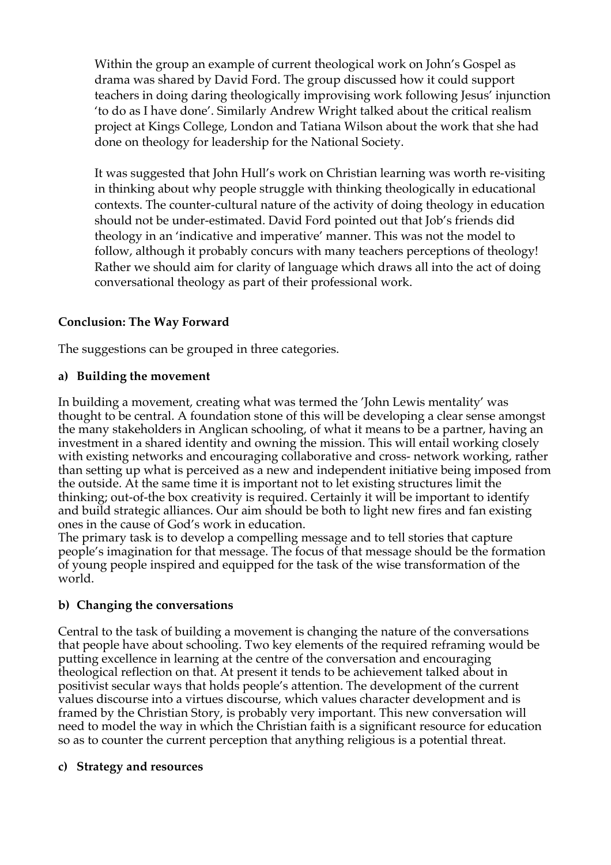Within the group an example of current theological work on John's Gospel as drama was shared by David Ford. The group discussed how it could support teachers in doing daring theologically improvising work following Jesus' injunction 'to do as I have done'. Similarly Andrew Wright talked about the critical realism project at Kings College, London and Tatiana Wilson about the work that she had done on theology for leadership for the National Society.

It was suggested that John Hull's work on Christian learning was worth re-visiting in thinking about why people struggle with thinking theologically in educational contexts. The counter-cultural nature of the activity of doing theology in education should not be under-estimated. David Ford pointed out that Job's friends did theology in an 'indicative and imperative' manner. This was not the model to follow, although it probably concurs with many teachers perceptions of theology! Rather we should aim for clarity of language which draws all into the act of doing conversational theology as part of their professional work.

#### **Conclusion: The Way Forward**

The suggestions can be grouped in three categories.

#### **a) Building the movement**

In building a movement, creating what was termed the 'John Lewis mentality' was thought to be central. A foundation stone of this will be developing a clear sense amongst the many stakeholders in Anglican schooling, of what it means to be a partner, having an investment in a shared identity and owning the mission. This will entail working closely with existing networks and encouraging collaborative and cross- network working, rather than setting up what is perceived as a new and independent initiative being imposed from the outside. At the same time it is important not to let existing structures limit the thinking; out-of-the box creativity is required. Certainly it will be important to identify and build strategic alliances. Our aim should be both to light new fires and fan existing ones in the cause of God's work in education.

The primary task is to develop a compelling message and to tell stories that capture people's imagination for that message. The focus of that message should be the formation of young people inspired and equipped for the task of the wise transformation of the world.

#### **b) Changing the conversations**

Central to the task of building a movement is changing the nature of the conversations that people have about schooling. Two key elements of the required reframing would be putting excellence in learning at the centre of the conversation and encouraging theological reflection on that. At present it tends to be achievement talked about in positivist secular ways that holds people's attention. The development of the current values discourse into a virtues discourse, which values character development and is framed by the Christian Story, is probably very important. This new conversation will need to model the way in which the Christian faith is a significant resource for education so as to counter the current perception that anything religious is a potential threat.

#### **c) Strategy and resources**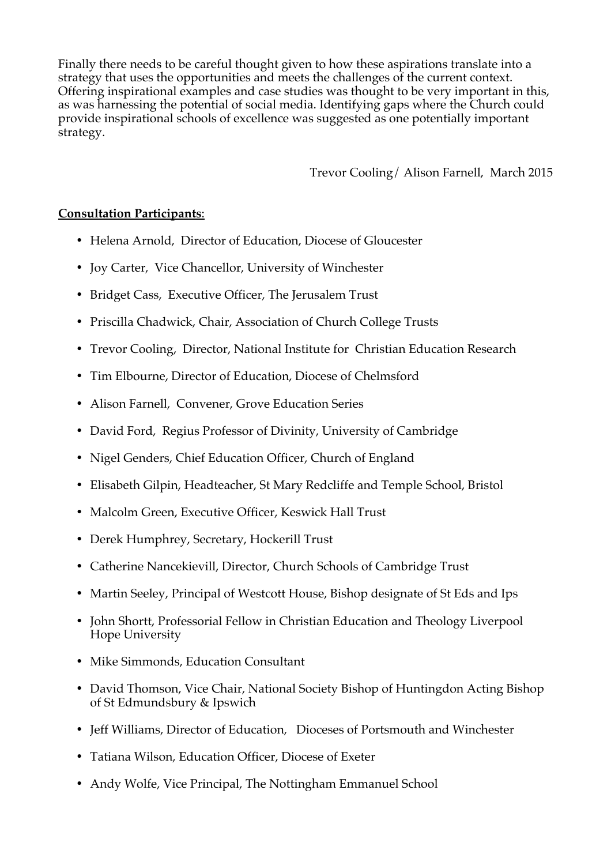Finally there needs to be careful thought given to how these aspirations translate into a strategy that uses the opportunities and meets the challenges of the current context. Offering inspirational examples and case studies was thought to be very important in this, as was harnessing the potential of social media. Identifying gaps where the Church could provide inspirational schools of excellence was suggested as one potentially important strategy.

Trevor Cooling/ Alison Farnell, March 2015

## **Consultation Participants**:

- Helena Arnold, Director of Education, Diocese of Gloucester
- Joy Carter, Vice Chancellor, University of Winchester
- Bridget Cass, Executive Officer, The Jerusalem Trust
- Priscilla Chadwick, Chair, Association of Church College Trusts
- Trevor Cooling, Director, National Institute for Christian Education Research
- Tim Elbourne, Director of Education, Diocese of Chelmsford
- Alison Farnell, Convener, Grove Education Series
- David Ford, Regius Professor of Divinity, University of Cambridge
- Nigel Genders, Chief Education Officer, Church of England
- Elisabeth Gilpin, Headteacher, St Mary Redcliffe and Temple School, Bristol
- Malcolm Green, Executive Officer, Keswick Hall Trust
- Derek Humphrey, Secretary, Hockerill Trust
- Catherine Nancekievill, Director, Church Schools of Cambridge Trust
- Martin Seeley, Principal of Westcott House, Bishop designate of St Eds and Ips
- John Shortt, Professorial Fellow in Christian Education and Theology Liverpool Hope University
- Mike Simmonds, Education Consultant
- David Thomson, Vice Chair, National Society Bishop of Huntingdon Acting Bishop of St Edmundsbury & Ipswich
- Jeff Williams, Director of Education, Dioceses of Portsmouth and Winchester
- Tatiana Wilson, Education Officer, Diocese of Exeter
- Andy Wolfe, Vice Principal, The Nottingham Emmanuel School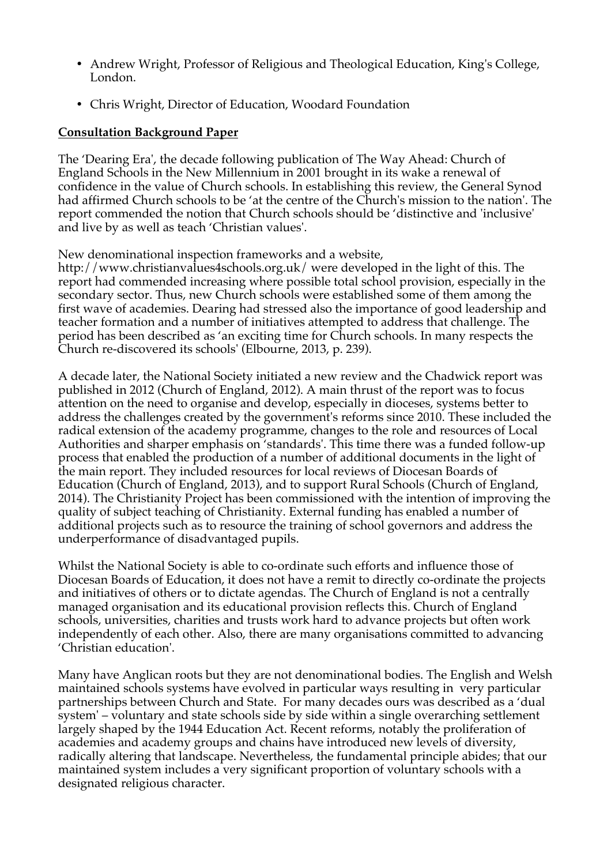- Andrew Wright, Professor of Religious and Theological Education, King's College, London.
- Chris Wright, Director of Education, Woodard Foundation

## **Consultation Background Paper**

The 'Dearing Era', the decade following publication of The Way Ahead: Church of England Schools in the New Millennium in 2001 brought in its wake a renewal of confidence in the value of Church schools. In establishing this review, the General Synod had affirmed Church schools to be 'at the centre of the Church's mission to the nation'. The report commended the notion that Church schools should be 'distinctive and 'inclusive' and live by as well as teach 'Christian values'.

New denominational inspection frameworks and a website,

http://www.christianvalues4schools.org.uk/ were developed in the light of this. The report had commended increasing where possible total school provision, especially in the secondary sector. Thus, new Church schools were established some of them among the first wave of academies. Dearing had stressed also the importance of good leadership and teacher formation and a number of initiatives attempted to address that challenge. The period has been described as 'an exciting time for Church schools. In many respects the Church re-discovered its schools' (Elbourne, 2013, p. 239).

A decade later, the National Society initiated a new review and the Chadwick report was published in 2012 (Church of England, 2012). A main thrust of the report was to focus attention on the need to organise and develop, especially in dioceses, systems better to address the challenges created by the government's reforms since 2010. These included the radical extension of the academy programme, changes to the role and resources of Local Authorities and sharper emphasis on 'standards'. This time there was a funded follow-up process that enabled the production of a number of additional documents in the light of the main report. They included resources for local reviews of Diocesan Boards of Education (Church of England, 2013), and to support Rural Schools (Church of England, 2014). The Christianity Project has been commissioned with the intention of improving the quality of subject teaching of Christianity. External funding has enabled a number of additional projects such as to resource the training of school governors and address the underperformance of disadvantaged pupils.

Whilst the National Society is able to co-ordinate such efforts and influence those of Diocesan Boards of Education, it does not have a remit to directly co-ordinate the projects and initiatives of others or to dictate agendas. The Church of England is not a centrally managed organisation and its educational provision reflects this. Church of England schools, universities, charities and trusts work hard to advance projects but often work independently of each other. Also, there are many organisations committed to advancing 'Christian education'.

Many have Anglican roots but they are not denominational bodies. The English and Welsh maintained schools systems have evolved in particular ways resulting in very particular partnerships between Church and State. For many decades ours was described as a 'dual system' – voluntary and state schools side by side within a single overarching settlement largely shaped by the 1944 Education Act. Recent reforms, notably the proliferation of academies and academy groups and chains have introduced new levels of diversity, radically altering that landscape. Nevertheless, the fundamental principle abides; that our maintained system includes a very significant proportion of voluntary schools with a designated religious character.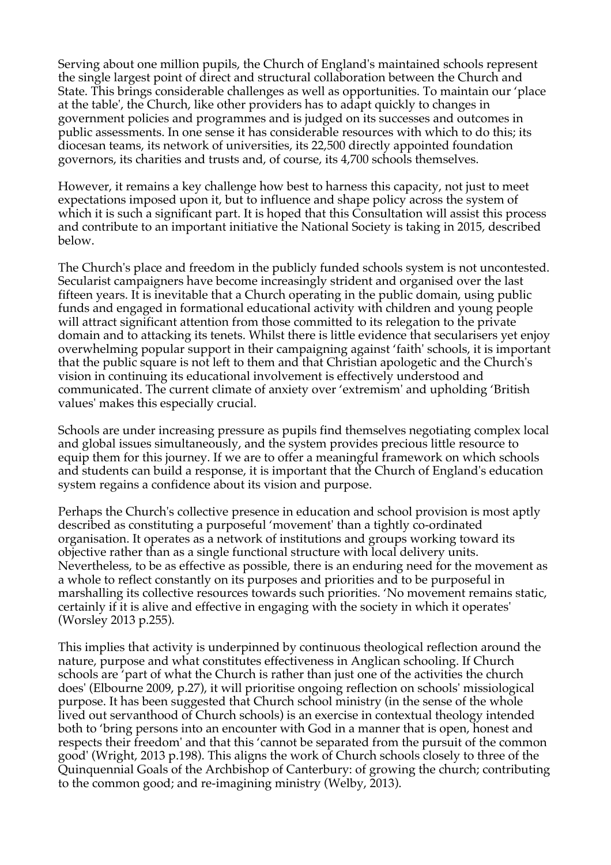Serving about one million pupils, the Church of England's maintained schools represent the single largest point of direct and structural collaboration between the Church and State. This brings considerable challenges as well as opportunities. To maintain our 'place at the table', the Church, like other providers has to adapt quickly to changes in government policies and programmes and is judged on its successes and outcomes in public assessments. In one sense it has considerable resources with which to do this; its diocesan teams, its network of universities, its 22,500 directly appointed foundation governors, its charities and trusts and, of course, its 4,700 schools themselves.

However, it remains a key challenge how best to harness this capacity, not just to meet expectations imposed upon it, but to influence and shape policy across the system of which it is such a significant part. It is hoped that this Consultation will assist this process and contribute to an important initiative the National Society is taking in 2015, described below.

The Church's place and freedom in the publicly funded schools system is not uncontested. Secularist campaigners have become increasingly strident and organised over the last fifteen years. It is inevitable that a Church operating in the public domain, using public funds and engaged in formational educational activity with children and young people will attract significant attention from those committed to its relegation to the private domain and to attacking its tenets. Whilst there is little evidence that secularisers yet enjoy overwhelming popular support in their campaigning against 'faith' schools, it is important that the public square is not left to them and that Christian apologetic and the Church's vision in continuing its educational involvement is effectively understood and communicated. The current climate of anxiety over 'extremism' and upholding 'British values' makes this especially crucial.

Schools are under increasing pressure as pupils find themselves negotiating complex local and global issues simultaneously, and the system provides precious little resource to equip them for this journey. If we are to offer a meaningful framework on which schools and students can build a response, it is important that the Church of England's education system regains a confidence about its vision and purpose.

Perhaps the Church's collective presence in education and school provision is most aptly described as constituting a purposeful 'movement' than a tightly co-ordinated organisation. It operates as a network of institutions and groups working toward its objective rather than as a single functional structure with local delivery units. Nevertheless, to be as effective as possible, there is an enduring need for the movement as a whole to reflect constantly on its purposes and priorities and to be purposeful in marshalling its collective resources towards such priorities. 'No movement remains static, certainly if it is alive and effective in engaging with the society in which it operates' (Worsley 2013 p.255).

This implies that activity is underpinned by continuous theological reflection around the nature, purpose and what constitutes effectiveness in Anglican schooling. If Church schools are 'part of what the Church is rather than just one of the activities the church does' (Elbourne 2009, p.27), it will prioritise ongoing reflection on schools' missiological purpose. It has been suggested that Church school ministry (in the sense of the whole lived out servanthood of Church schools) is an exercise in contextual theology intended both to 'bring persons into an encounter with God in a manner that is open, honest and respects their freedom' and that this 'cannot be separated from the pursuit of the common good' (Wright, 2013 p.198). This aligns the work of Church schools closely to three of the Quinquennial Goals of the Archbishop of Canterbury: of growing the church; contributing to the common good; and re-imagining ministry (Welby, 2013).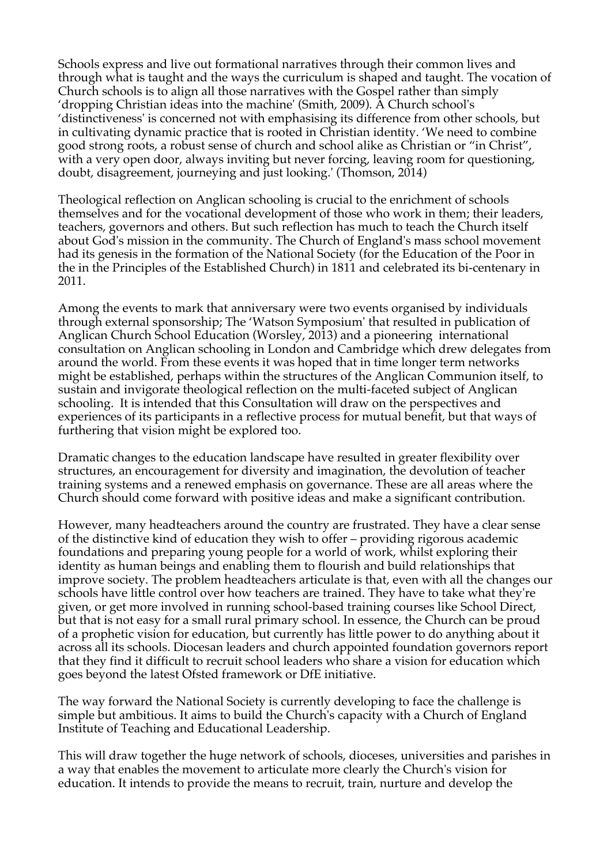Schools express and live out formational narratives through their common lives and through what is taught and the ways the curriculum is shaped and taught. The vocation of Church schools is to align all those narratives with the Gospel rather than simply 'dropping Christian ideas into the machine' (Smith, 2009). A Church school's 'distinctiveness' is concerned not with emphasising its difference from other schools, but in cultivating dynamic practice that is rooted in Christian identity. 'We need to combine good strong roots, a robust sense of church and school alike as Christian or "in Christ", with a very open door, always inviting but never forcing, leaving room for questioning, doubt, disagreement, journeying and just looking.' (Thomson, 2014)

Theological reflection on Anglican schooling is crucial to the enrichment of schools themselves and for the vocational development of those who work in them; their leaders, teachers, governors and others. But such reflection has much to teach the Church itself about God's mission in the community. The Church of England's mass school movement had its genesis in the formation of the National Society (for the Education of the Poor in the in the Principles of the Established Church) in 1811 and celebrated its bi-centenary in 2011.

Among the events to mark that anniversary were two events organised by individuals through external sponsorship; The 'Watson Symposium' that resulted in publication of Anglican Church School Education (Worsley, 2013) and a pioneering international consultation on Anglican schooling in London and Cambridge which drew delegates from around the world. From these events it was hoped that in time longer term networks might be established, perhaps within the structures of the Anglican Communion itself, to sustain and invigorate theological reflection on the multi-faceted subject of Anglican schooling. It is intended that this Consultation will draw on the perspectives and experiences of its participants in a reflective process for mutual benefit, but that ways of furthering that vision might be explored too.

Dramatic changes to the education landscape have resulted in greater flexibility over structures, an encouragement for diversity and imagination, the devolution of teacher training systems and a renewed emphasis on governance. These are all areas where the Church should come forward with positive ideas and make a significant contribution.

However, many headteachers around the country are frustrated. They have a clear sense of the distinctive kind of education they wish to offer – providing rigorous academic foundations and preparing young people for a world of work, whilst exploring their identity as human beings and enabling them to flourish and build relationships that improve society. The problem headteachers articulate is that, even with all the changes our schools have little control over how teachers are trained. They have to take what they're given, or get more involved in running school-based training courses like School Direct, but that is not easy for a small rural primary school. In essence, the Church can be proud of a prophetic vision for education, but currently has little power to do anything about it across all its schools. Diocesan leaders and church appointed foundation governors report that they find it difficult to recruit school leaders who share a vision for education which goes beyond the latest Ofsted framework or DfE initiative.

The way forward the National Society is currently developing to face the challenge is simple but ambitious. It aims to build the Church's capacity with a Church of England Institute of Teaching and Educational Leadership.

This will draw together the huge network of schools, dioceses, universities and parishes in a way that enables the movement to articulate more clearly the Church's vision for education. It intends to provide the means to recruit, train, nurture and develop the